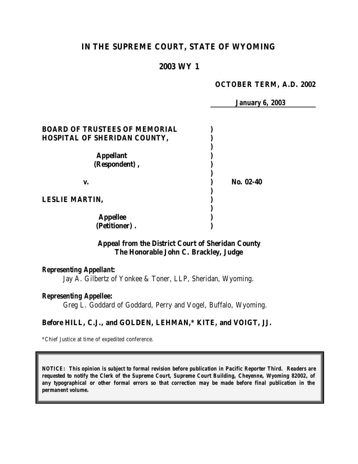# **IN THE SUPREME COURT, STATE OF WYOMING**

## **2003 WY 1**

#### **OCTOBER TERM, A.D. 2002**

 *January 6, 2003*

| <b>BOARD OF TRUSTEES OF MEMORIAL</b> |           |
|--------------------------------------|-----------|
| <b>HOSPITAL OF SHERIDAN COUNTY,</b>  |           |
|                                      |           |
| <b>Appellant</b>                     |           |
| (Respondent),                        |           |
|                                      |           |
| v.                                   | No. 02-40 |
|                                      |           |
| <b>LESLIE MARTIN,</b>                |           |
|                                      |           |
| <b>Appellee</b>                      |           |
| (Petitioner).                        |           |

## **Appeal from the District Court of Sheridan County The Honorable John C. Brackley, Judge**

#### *Representing Appellant:*

Jay A. Gilbertz of Yonkee & Toner, LLP, Sheridan, Wyoming.

#### *Representing Appellee:*

Greg L. Goddard of Goddard, Perry and Vogel, Buffalo, Wyoming.

### **Before HILL, C.J., and GOLDEN, LEHMAN,\* KITE, and VOIGT, JJ.**

\*Chief Justice at time of expedited conference.

*NOTICE: This opinion is subject to formal revision before publication in Pacific Reporter Third. Readers are requested to notify the Clerk of the Supreme Court, Supreme Court Building, Cheyenne, Wyoming 82002, of any typographical or other formal errors so that correction may be made before final publication in the permanent volume.*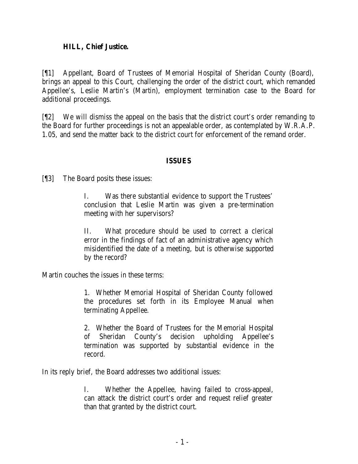### **HILL, Chief Justice.**

[¶1] Appellant, Board of Trustees of Memorial Hospital of Sheridan County (Board), brings an appeal to this Court, challenging the order of the district court, which remanded Appellee's, Leslie Martin's (Martin), employment termination case to the Board for additional proceedings.

[¶2] We will dismiss the appeal on the basis that the district court's order remanding to the Board for further proceedings is not an appealable order, as contemplated by W.R.A.P. 1.05, and send the matter back to the district court for enforcement of the remand order.

### **ISSUES**

[¶3] The Board posits these issues:

I. Was there substantial evidence to support the Trustees' conclusion that Leslie Martin was given a pre-termination meeting with her supervisors?

II. What procedure should be used to correct a clerical error in the findings of fact of an administrative agency which misidentified the date of a meeting, but is otherwise supported by the record?

Martin couches the issues in these terms:

1. Whether Memorial Hospital of Sheridan County followed the procedures set forth in its Employee Manual when terminating Appellee.

2. Whether the Board of Trustees for the Memorial Hospital of Sheridan County's decision upholding Appellee's termination was supported by substantial evidence in the record.

In its reply brief, the Board addresses two additional issues:

I. Whether the Appellee, having failed to cross-appeal, can attack the district court's order and request relief greater than that granted by the district court.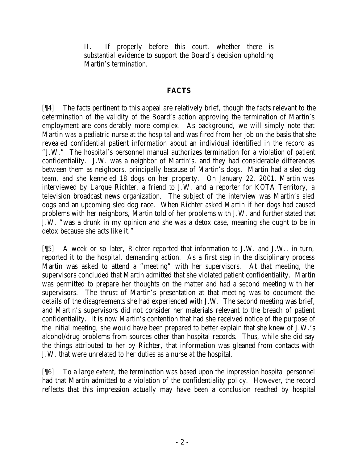II. If properly before this court, whether there is substantial evidence to support the Board's decision upholding Martin's termination.

## **FACTS**

[¶4] The facts pertinent to this appeal are relatively brief, though the facts relevant to the determination of the validity of the Board's action approving the termination of Martin's employment are considerably more complex. As background, we will simply note that Martin was a pediatric nurse at the hospital and was fired from her job on the basis that she revealed confidential patient information about an individual identified in the record as "J.W." The hospital's personnel manual authorizes termination for a violation of patient confidentiality. J.W. was a neighbor of Martin's, and they had considerable differences between them as neighbors, principally because of Martin's dogs. Martin had a sled dog team, and she kenneled 18 dogs on her property. On January 22, 2001, Martin was interviewed by Larque Richter, a friend to J.W. and a reporter for KOTA Territory, a television broadcast news organization. The subject of the interview was Martin's sled dogs and an upcoming sled dog race. When Richter asked Martin if her dogs had caused problems with her neighbors, Martin told of her problems with J.W. and further stated that J.W. "was a drunk in my opinion and she was a detox case, meaning she ought to be in detox because she acts like it."

[¶5] A week or so later, Richter reported that information to J.W. and J.W., in turn, reported it to the hospital, demanding action. As a first step in the disciplinary process Martin was asked to attend a "meeting" with her supervisors. At that meeting, the supervisors concluded that Martin admitted that she violated patient confidentiality. Martin was permitted to prepare her thoughts on the matter and had a second meeting with her supervisors. The thrust of Martin's presentation at that meeting was to document the details of the disagreements she had experienced with J.W. The second meeting was brief, and Martin's supervisors did not consider her materials relevant to the breach of patient confidentiality. It is now Martin's contention that had she received notice of the purpose of the initial meeting, she would have been prepared to better explain that she knew of J.W.'s alcohol/drug problems from sources other than hospital records. Thus, while she did say the things attributed to her by Richter, that information was gleaned from contacts with J.W. that were unrelated to her duties as a nurse at the hospital.

[¶6] To a large extent, the termination was based upon the impression hospital personnel had that Martin admitted to a violation of the confidentiality policy. However, the record reflects that this impression actually may have been a conclusion reached by hospital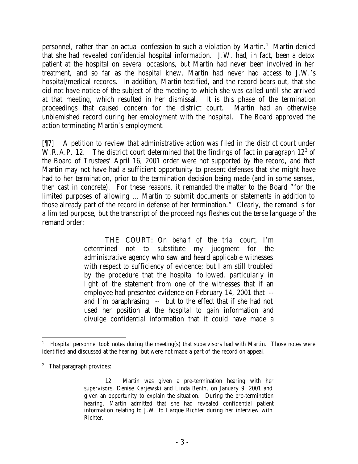personnel, rather than an actual confession to such a violation by Martin.<sup>1</sup> Martin denied that she had revealed confidential hospital information. J.W. had, in fact, been a detox patient at the hospital on several occasions, but Martin had never been involved in her treatment, and so far as the hospital knew, Martin had never had access to J.W.'s hospital/medical records. In addition, Martin testified, and the record bears out, that she did not have notice of the subject of the meeting to which she was called until she arrived at that meeting, which resulted in her dismissal. It is this phase of the termination proceedings that caused concern for the district court. Martin had an otherwise unblemished record during her employment with the hospital. The Board approved the action terminating Martin's employment.

[¶7] A petition to review that administrative action was filed in the district court under W.R.A.P. 12. The district court determined that the findings of fact in paragraph  $12<sup>2</sup>$  of the Board of Trustees' April 16, 2001 order were not supported by the record, and that Martin may not have had a sufficient opportunity to present defenses that she might have had to her termination, prior to the termination decision being made (and in some senses, then cast in concrete). For these reasons, it remanded the matter to the Board "for the limited purposes of allowing … Martin to submit documents or statements in addition to those already part of the record in defense of her termination." Clearly, the remand is for a limited purpose, but the transcript of the proceedings fleshes out the terse language of the remand order:

> THE COURT: On behalf of the trial court, I'm determined not to substitute my judgment for the administrative agency who saw and heard applicable witnesses with respect to sufficiency of evidence; but I am still troubled by the procedure that the hospital followed, particularly in light of the statement from one of the witnesses that if an employee had presented evidence on February 14, 2001 that - and I'm paraphrasing -- but to the effect that if she had not used her position at the hospital to gain information and divulge confidential information that it could have made a

<sup>1</sup> Hospital personnel took notes during the meeting(s) that supervisors had with Martin. Those notes were identified and discussed at the hearing, but were not made a part of the record on appeal.

<sup>&</sup>lt;sup>2</sup> That paragraph provides:

<sup>12.</sup> Martin was given a pre-termination hearing with her supervisors, Denise Karjewski and Linda Benth, on January 9, 2001 and given an opportunity to explain the situation. During the pre-termination hearing, Martin admitted that she had revealed confidential patient information relating to J.W. to Larque Richter during her interview with Richter.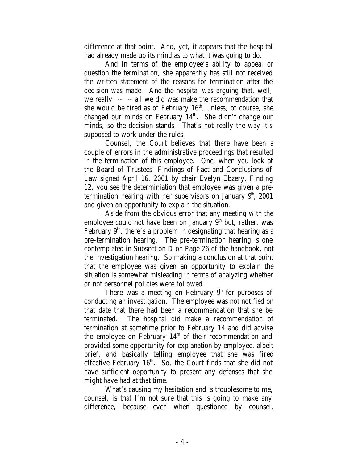difference at that point. And, yet, it appears that the hospital had already made up its mind as to what it was going to do.

And in terms of the employee's ability to appeal or question the termination, she apparently has still not received the written statement of the reasons for termination after the decision was made. And the hospital was arguing that, well, we really -- -- all we did was make the recommendation that she would be fired as of February  $16<sup>th</sup>$ , unless, of course, she changed our minds on February 14<sup>th</sup>. She didn't change our minds, so the decision stands. That's not really the way it's supposed to work under the rules.

Counsel, the Court believes that there have been a couple of errors in the administrative proceedings that resulted in the termination of this employee. One, when you look at the Board of Trustees' Findings of Fact and Conclusions of Law signed April 16, 2001 by chair Evelyn Ebzery, Finding 12, you see the determiniation that employee was given a pretermination hearing with her supervisors on January  $9<sup>th</sup>$ , 2001 and given an opportunity to explain the situation.

Aside from the obvious error that any meeting with the employee could not have been on January  $9<sup>th</sup>$  but, rather, was February  $9<sup>th</sup>$ , there's a problem in designating that hearing as a pre-termination hearing. The pre-termination hearing is one contemplated in Subsection D on Page 26 of the handbook, not the investigation hearing. So making a conclusion at that point that the employee was given an opportunity to explain the situation is somewhat misleading in terms of analyzing whether or not personnel policies were followed.

There was a meeting on February  $9<sup>h</sup>$  for purposes of conducting an investigation. The employee was not notified on that date that there had been a recommendation that she be terminated. The hospital did make a recommendation of termination at sometime prior to February 14 and did advise the employee on February  $14<sup>th</sup>$  of their recommendation and provided some opportunity for explanation by employee, albeit brief, and basically telling employee that she was fired effective February 16<sup>th</sup>. So, the Court finds that she did not have sufficient opportunity to present any defenses that she might have had at that time.

What's causing my hesitation and is troublesome to me, counsel, is that I'm not sure that this is going to make any difference, because even when questioned by counsel,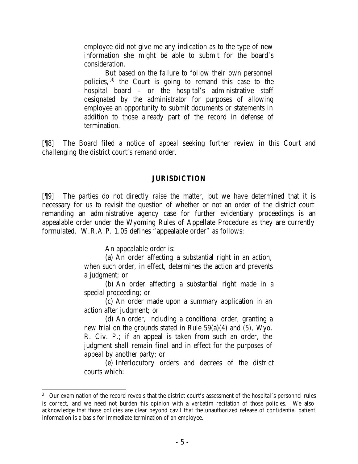employee did not give me any indication as to the type of new information she might be able to submit for the board's consideration.

But based on the failure to follow their own personnel policies, <sup>[3]</sup> the Court is going to remand this case to the hospital board – or the hospital's administrative staff designated by the administrator for purposes of allowing employee an opportunity to submit documents or statements in addition to those already part of the record in defense of termination.

[¶8] The Board filed a notice of appeal seeking further review in this Court and challenging the district court's remand order.

### **JURISDICTION**

[¶9] The parties do not directly raise the matter, but we have determined that it is necessary for us to revisit the question of whether or not an order of the district court remanding an administrative agency case for further evidentiary proceedings is an appealable order under the Wyoming Rules of Appellate Procedure as they are currently formulated. W.R.A.P. 1.05 defines "appealable order" as follows:

An appealable order is:

(a) An order affecting a substantial right in an action, when such order, in effect, determines the action and prevents a judgment; or

(b) An order affecting a substantial right made in a special proceeding; or

(c) An order made upon a summary application in an action after judgment; or

(d) An order, including a conditional order, granting a new trial on the grounds stated in Rule 59(a)(4) and (5), Wyo. R. Civ. P.; if an appeal is taken from such an order, the judgment shall remain final and in effect for the purposes of appeal by another party; or

(e) Interlocutory orders and decrees of the district courts which:

<sup>&</sup>lt;sup>3</sup> Our examination of the record reveals that the district court's assessment of the hospital's personnel rules is correct, and we need not burden this opinion with a verbatim recitation of those policies. We also acknowledge that those policies are clear beyond cavil that the unauthorized release of confidential patient information is a basis for immediate termination of an employee.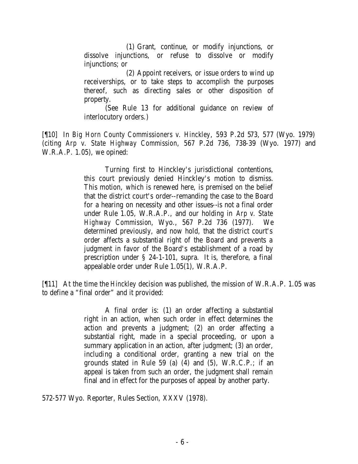(1) Grant, continue, or modify injunctions, or dissolve injunctions, or refuse to dissolve or modify injunctions; or

(2) Appoint receivers, or issue orders to wind up receiverships, or to take steps to accomplish the purposes thereof, such as directing sales or other disposition of property.

(See Rule 13 for additional guidance on review of interlocutory orders.)

[¶10] In *Big Horn County Commissioners v. Hinckley*, 593 P.2d 573, 577 (Wyo. 1979) (citing *Arp v. State Highway Commission*, 567 P.2d 736, 738-39 (Wyo. 1977) and W.R.A.P. 1.05), we opined:

> Turning first to Hinckley's jurisdictional contentions, this court previously denied Hinckley's motion to dismiss. This motion, which is renewed here, is premised on the belief that the district court's order--remanding the case to the Board for a hearing on necessity and other issues--is not a final order under Rule 1.05, W.R.A.P., and our holding in *Arp v. State Highway Commission*, Wyo., 567 P.2d 736 (1977). We determined previously, and now hold, that the district court's order affects a substantial right of the Board and prevents a judgment in favor of the Board's establishment of a road by prescription under § 24-1-101, supra. It is, therefore, a final appealable order under Rule 1.05(1), W.R.A.P.

[¶11] At the time the *Hinckley* decision was published, the mission of W.R.A.P. 1.05 was to define a "final order" and it provided:

> A final order is: (1) an order affecting a substantial right in an action, when such order in effect determines the action and prevents a judgment; (2) an order affecting a substantial right, made in a special proceeding, or upon a summary application in an action, after judgment; (3) an order, including a conditional order, granting a new trial on the grounds stated in Rule 59 (a) (4) and (5), W.R.C.P.; if an appeal is taken from such an order, the judgment shall remain final and in effect for the purposes of appeal by another party.

572-577 Wyo. Reporter, Rules Section, XXXV (1978).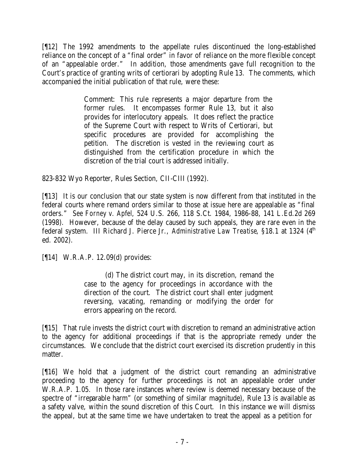[¶12] The 1992 amendments to the appellate rules discontinued the long-established reliance on the concept of a "final order" in favor of reliance on the more flexible concept of an "appealable order." In addition, those amendments gave full recognition to the Court's practice of granting writs of certiorari by adopting Rule 13. The comments, which accompanied the initial publication of that rule, were these:

> Comment: This rule represents a major departure from the former rules. It encompasses former Rule 13, but it also provides for interlocutory appeals. It does reflect the practice of the Supreme Court with respect to Writs of Certiorari, but specific procedures are provided for accomplishing the petition. The discretion is vested in the reviewing court as distinguished from the certification procedure in which the discretion of the trial court is addressed initially.

823-832 Wyo Reporter, Rules Section, CII-CIII (1992).

[¶13] It is our conclusion that our state system is now different from that instituted in the federal courts where remand orders similar to those at issue here are appealable as "final orders." *See Forney v. Apfel*, 524 U.S. 266, 118 S.Ct. 1984, 1986-88, 141 L.Ed.2d 269 (1998). However, because of the delay caused by such appeals, they are rare even in the federal system. III Richard J. Pierce Jr., *Administrative Law Treatise*, §18.1 at 1324 (4<sup>th</sup>) ed. 2002).

[¶14] W.R.A.P. 12.09(d) provides:

(d) The district court may, in its discretion, remand the case to the agency for proceedings in accordance with the direction of the court. The district court shall enter judgment reversing, vacating, remanding or modifying the order for errors appearing on the record.

[¶15] That rule invests the district court with discretion to remand an administrative action to the agency for additional proceedings if that is the appropriate remedy under the circumstances. We conclude that the district court exercised its discretion prudently in this matter.

[¶16] We hold that a judgment of the district court remanding an administrative proceeding to the agency for further proceedings is not an appealable order under W.R.A.P. 1.05. In those rare instances where review is deemed necessary because of the spectre of "irreparable harm" (or something of similar magnitude), Rule 13 is available as a safety valve, within the sound discretion of this Court. In this instance we will dismiss the appeal, but at the same time we have undertaken to treat the appeal as a petition for